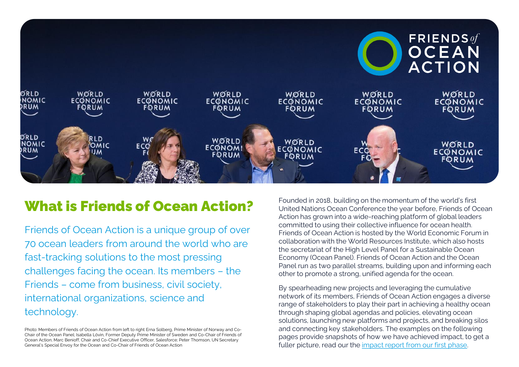

## What is Friends of Ocean Action?

Friends of Ocean Action is a unique group of over 70 ocean leaders from around the world who are fast-tracking solutions to the most pressing challenges facing the ocean. Its members – the Friends – come from business, civil society, international organizations, science and technology.

Photo: Members of Friends of Ocean Action from left to right Erna Solberg, Prime Minister of Norway and Co-Chair of the Ocean Panel; Isabella Lövin, Former Deputy Prime Minister of Sweden and Co-Chair of Friends of Ocean Action; Marc Benioff, Chair and Co-Chief Executive Officer, Salesforce; Peter Thomson, UN Secretary General's Special Envoy for the Ocean and Co-Chair of Friends of Ocean Action

Founded in 2018, building on the momentum of the world's first United Nations Ocean Conference the year before, Friends of Ocean Action has grown into a wide-reaching platform of global leaders committed to using their collective influence for ocean health. Friends of Ocean Action is hosted by the World Economic Forum in collaboration with the World Resources Institute, which also hosts the secretariat of the High Level Panel for a Sustainable Ocean Economy (Ocean Panel). Friends of Ocean Action and the Ocean Panel run as two parallel streams, building upon and informing each other to promote a strong, unified agenda for the ocean.

By spearheading new projects and leveraging the cumulative network of its members, Friends of Ocean Action engages a diverse range of stakeholders to play their part in achieving a healthy ocean through shaping global agendas and policies, elevating ocean solutions, launching new platforms and projects, and breaking silos and connecting key stakeholders. The examples on the following pages provide snapshots of how we have achieved impact, to get a fuller picture, read our the [impact report from our first phase.](https://www3.weforum.org/docs/FOA_Impact_Report_2021.pdf)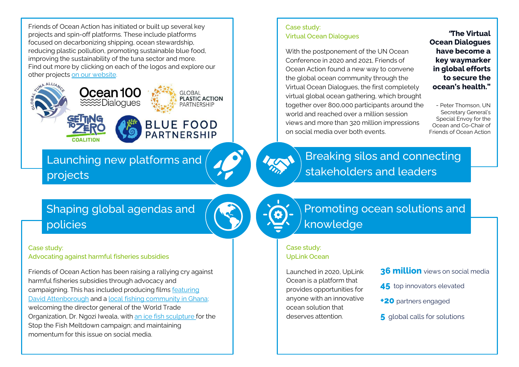Friends of Ocean Action has initiated or built up several key projects and spin-off platforms. These include platforms focused on decarbonizing shipping, ocean stewardship, reducing plastic pollution, promoting sustainable blue food, improving the sustainability of the tuna sector and more. Find out more by clicking on each of the logos and explore our other projects [on our website](https://www.weforum.org/friends-of-ocean-action/foa-projects).



Launching new platforms and projects

### Case study: Virtual Ocean Dialogues

With the postponement of the UN Ocean Conference in 2020 and 2021, Friends of Ocean Action found a new way to convene the global ocean community through the Virtual Ocean Dialogues, the first completely virtual global ocean gathering, which brought together over 800,000 participants around the world and reached over a million session views and more than 320 million impressions on social media over both events.

**"The Virtual Ocean Dialogues have become a key waymarker in global efforts to secure the ocean's health."** 

- Peter Thomson, UN Secretary General's Special Envoy for the Ocean and Co-Chair of Friends of Ocean Action

## Shaping global agendas and policies

#### Case study:

Advocating against harmful fisheries subsidies

Friends of Ocean Action has been raising a rallying cry against harmful fisheries subsidies through advocacy and [campaigning. This has included producing films featuring](https://www.youtube.com/watch?v=og8N-EslUPQ) David Attenborough and a [local fishing community in Ghana;](https://vimeo.com/462717055) welcoming the director general of the World Trade Organization, Dr. Ngozi Iweala, with [an ice fish sculpture f](https://www.weforum.org/friends-of-ocean-action/melting-fish-ice-sculpture-at-world-trade-organization-headquarters-highlights-need-for-a-global-deal-to-end-harmful-fisheries-subsidies)or the Stop the Fish Meltdown campaign; and maintaining momentum for this issue on social media.

## Promoting ocean solutions and knowledge

Breaking silos and connecting

stakeholders and leaders

#### Case study: UpLink Ocean

Launched in 2020, UpLink Ocean is a platform that provides opportunities for anyone with an innovative ocean solution that deserves attention.

- **36 million** views on social media
- **45** top innovators elevated
- **+20** partners engaged
- **5** global calls for solutions